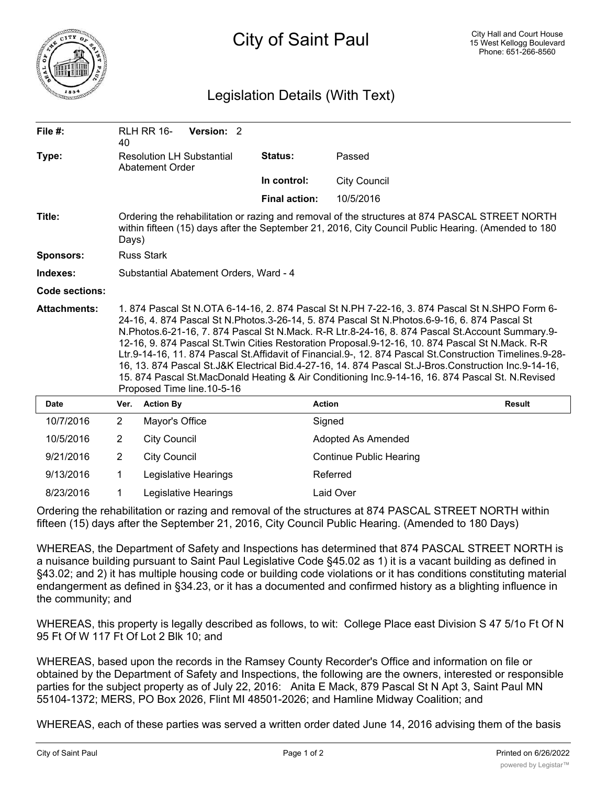

## Legislation Details (With Text)

| File $#$ :          | 40                                                                                                                                                                                                                                                                                                                                                                                                                                                                                                                                                                                                                                                                                                                                                           | <b>RLH RR 16-</b>   | Version: 2           |  |                      |                                |               |  |
|---------------------|--------------------------------------------------------------------------------------------------------------------------------------------------------------------------------------------------------------------------------------------------------------------------------------------------------------------------------------------------------------------------------------------------------------------------------------------------------------------------------------------------------------------------------------------------------------------------------------------------------------------------------------------------------------------------------------------------------------------------------------------------------------|---------------------|----------------------|--|----------------------|--------------------------------|---------------|--|
| Type:               | <b>Resolution LH Substantial</b><br><b>Abatement Order</b>                                                                                                                                                                                                                                                                                                                                                                                                                                                                                                                                                                                                                                                                                                   |                     |                      |  | <b>Status:</b>       | Passed                         |               |  |
|                     |                                                                                                                                                                                                                                                                                                                                                                                                                                                                                                                                                                                                                                                                                                                                                              |                     |                      |  | In control:          | <b>City Council</b>            |               |  |
|                     |                                                                                                                                                                                                                                                                                                                                                                                                                                                                                                                                                                                                                                                                                                                                                              |                     |                      |  | <b>Final action:</b> | 10/5/2016                      |               |  |
| Title:              | Ordering the rehabilitation or razing and removal of the structures at 874 PASCAL STREET NORTH<br>within fifteen (15) days after the September 21, 2016, City Council Public Hearing. (Amended to 180<br>Days)                                                                                                                                                                                                                                                                                                                                                                                                                                                                                                                                               |                     |                      |  |                      |                                |               |  |
| <b>Sponsors:</b>    | <b>Russ Stark</b>                                                                                                                                                                                                                                                                                                                                                                                                                                                                                                                                                                                                                                                                                                                                            |                     |                      |  |                      |                                |               |  |
| Indexes:            | Substantial Abatement Orders, Ward - 4                                                                                                                                                                                                                                                                                                                                                                                                                                                                                                                                                                                                                                                                                                                       |                     |                      |  |                      |                                |               |  |
| Code sections:      |                                                                                                                                                                                                                                                                                                                                                                                                                                                                                                                                                                                                                                                                                                                                                              |                     |                      |  |                      |                                |               |  |
| <b>Attachments:</b> | 1. 874 Pascal St N.OTA 6-14-16, 2. 874 Pascal St N.PH 7-22-16, 3. 874 Pascal St N.SHPO Form 6-<br>24-16, 4. 874 Pascal St N.Photos.3-26-14, 5. 874 Pascal St N.Photos.6-9-16, 6. 874 Pascal St<br>N.Photos.6-21-16, 7. 874 Pascal St N.Mack. R-R Ltr.8-24-16, 8. 874 Pascal St.Account Summary.9-<br>12-16, 9. 874 Pascal St. Twin Cities Restoration Proposal.9-12-16, 10. 874 Pascal St N. Mack. R-R<br>Ltr.9-14-16, 11. 874 Pascal St.Affidavit of Financial.9-, 12. 874 Pascal St.Construction Timelines.9-28-<br>16, 13. 874 Pascal St.J&K Electrical Bid.4-27-16, 14. 874 Pascal St.J-Bros.Construction Inc.9-14-16,<br>15. 874 Pascal St.MacDonald Heating & Air Conditioning Inc.9-14-16, 16. 874 Pascal St. N.Revised<br>Proposed Time line.10-5-16 |                     |                      |  |                      |                                |               |  |
| <b>Date</b>         | Ver.                                                                                                                                                                                                                                                                                                                                                                                                                                                                                                                                                                                                                                                                                                                                                         | <b>Action By</b>    |                      |  |                      | <b>Action</b>                  | <b>Result</b> |  |
| 10/7/2016           | $\overline{2}$                                                                                                                                                                                                                                                                                                                                                                                                                                                                                                                                                                                                                                                                                                                                               | Mayor's Office      |                      |  |                      | Signed                         |               |  |
| 10/5/2016           | $\overline{2}$                                                                                                                                                                                                                                                                                                                                                                                                                                                                                                                                                                                                                                                                                                                                               | <b>City Council</b> |                      |  |                      | <b>Adopted As Amended</b>      |               |  |
| 9/21/2016           | $\overline{2}$                                                                                                                                                                                                                                                                                                                                                                                                                                                                                                                                                                                                                                                                                                                                               | <b>City Council</b> |                      |  |                      | <b>Continue Public Hearing</b> |               |  |
| 9/13/2016           | 1                                                                                                                                                                                                                                                                                                                                                                                                                                                                                                                                                                                                                                                                                                                                                            |                     | Legislative Hearings |  |                      | Referred                       |               |  |
| 8/23/2016           | 1                                                                                                                                                                                                                                                                                                                                                                                                                                                                                                                                                                                                                                                                                                                                                            |                     | Legislative Hearings |  |                      | Laid Over                      |               |  |

Ordering the rehabilitation or razing and removal of the structures at 874 PASCAL STREET NORTH within fifteen (15) days after the September 21, 2016, City Council Public Hearing. (Amended to 180 Days)

WHEREAS, the Department of Safety and Inspections has determined that 874 PASCAL STREET NORTH is a nuisance building pursuant to Saint Paul Legislative Code §45.02 as 1) it is a vacant building as defined in §43.02; and 2) it has multiple housing code or building code violations or it has conditions constituting material endangerment as defined in §34.23, or it has a documented and confirmed history as a blighting influence in the community; and

WHEREAS, this property is legally described as follows, to wit: College Place east Division S 47 5/1o Ft Of N 95 Ft Of W 117 Ft Of Lot 2 Blk 10; and

WHEREAS, based upon the records in the Ramsey County Recorder's Office and information on file or obtained by the Department of Safety and Inspections, the following are the owners, interested or responsible parties for the subject property as of July 22, 2016: Anita E Mack, 879 Pascal St N Apt 3, Saint Paul MN 55104-1372; MERS, PO Box 2026, Flint MI 48501-2026; and Hamline Midway Coalition; and

WHEREAS, each of these parties was served a written order dated June 14, 2016 advising them of the basis